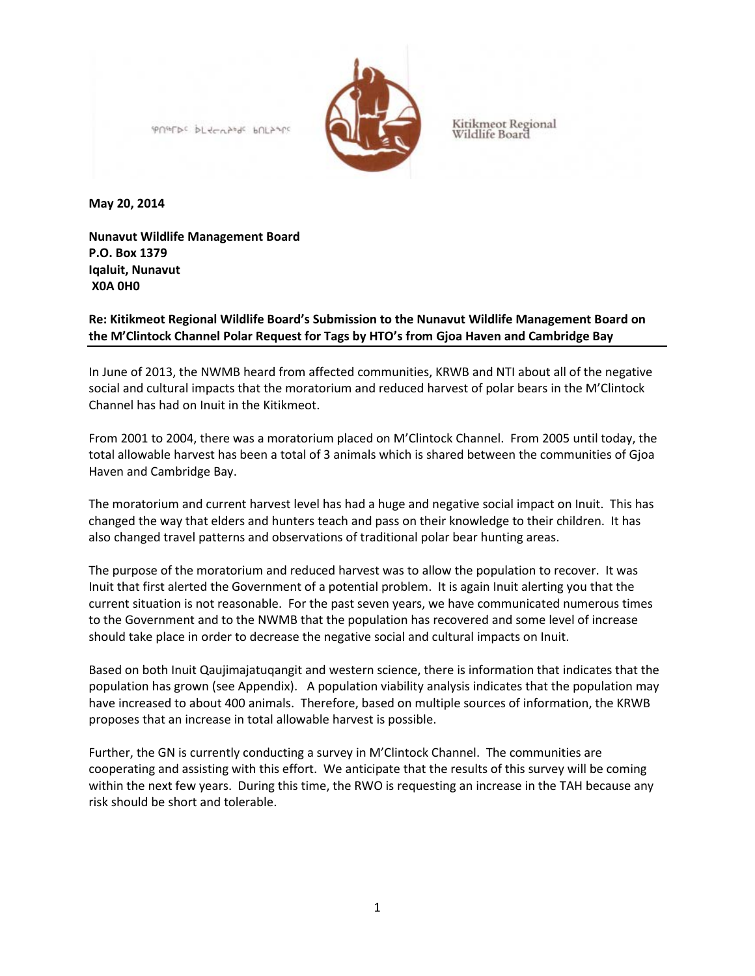

Kitikmeot Regional<br>Wildlife Board

**May 20, 2014**

**Nunavut Wildlife Management Board P.O. Box 1379 Iqaluit, Nunavut X0A 0H0**

**Re: Kitikmeot Regional Wildlife Board's Submission to the Nunavut Wildlife Management Board on the M'Clintock Channel Polar Request for Tags by HTO's from Gjoa Haven and Cambridge Bay**

In June of 2013, the NWMB heard from affected communities, KRWB and NTI about all of the negative social and cultural impacts that the moratorium and reduced harvest of polar bears in the M'Clintock Channel has had on Inuit in the Kitikmeot.

From 2001 to 2004, there was a moratorium placed on M'Clintock Channel. From 2005 until today, the total allowable harvest has been a total of 3 animals which is shared between the communities of Gjoa Haven and Cambridge Bay.

The moratorium and current harvest level has had a huge and negative social impact on Inuit. This has changed the way that elders and hunters teach and pass on their knowledge to their children. It has also changed travel patterns and observations of traditional polar bear hunting areas.

The purpose of the moratorium and reduced harvest was to allow the population to recover. It was Inuit that first alerted the Government of a potential problem. It is again Inuit alerting you that the current situation is not reasonable. For the past seven years, we have communicated numerous times to the Government and to the NWMB that the population has recovered and some level of increase should take place in order to decrease the negative social and cultural impacts on Inuit.

Based on both Inuit Qaujimajatuqangit and western science, there is information that indicates that the population has grown (see Appendix). A population viability analysis indicates that the population may have increased to about 400 animals. Therefore, based on multiple sources of information, the KRWB proposes that an increase in total allowable harvest is possible.

Further, the GN is currently conducting a survey in M'Clintock Channel. The communities are cooperating and assisting with this effort. We anticipate that the results of this survey will be coming within the next few years. During this time, the RWO is requesting an increase in the TAH because any risk should be short and tolerable.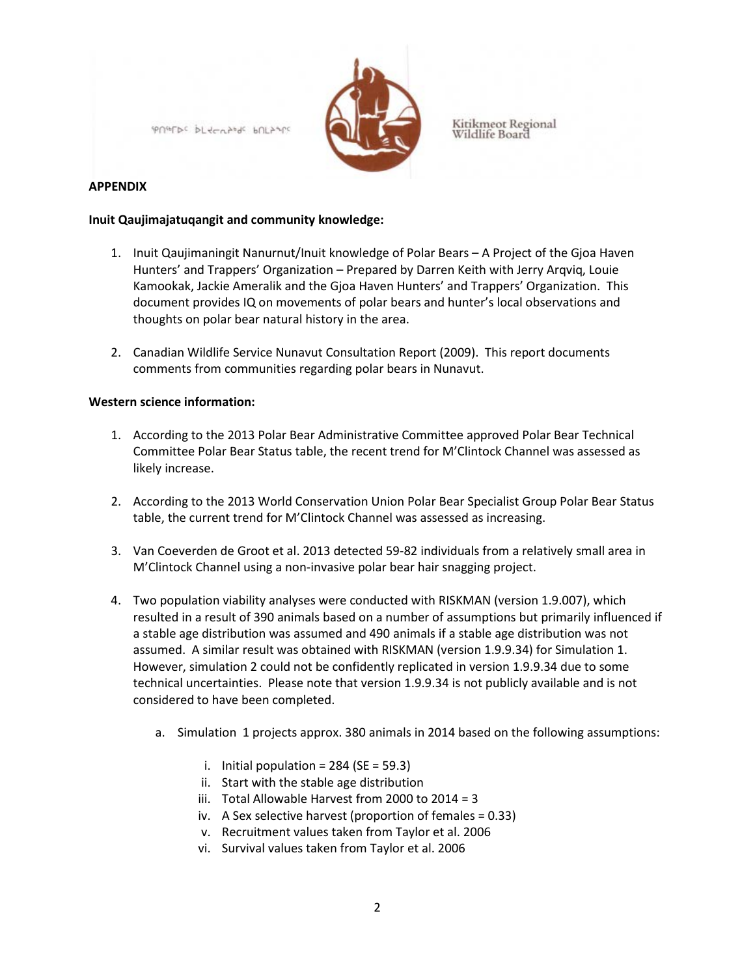

Kitikmeot Regional<br>Wildlife Board

## **APPENDIX**

## **Inuit Qaujimajatuqangit and community knowledge:**

- 1. Inuit Qaujimaningit Nanurnut/Inuit knowledge of Polar Bears A Project of the Gjoa Haven Hunters' and Trappers' Organization – Prepared by Darren Keith with Jerry Arqviq, Louie Kamookak, Jackie Ameralik and the Gjoa Haven Hunters' and Trappers' Organization. This document provides IQ on movements of polar bears and hunter's local observations and thoughts on polar bear natural history in the area.
- 2. Canadian Wildlife Service Nunavut Consultation Report (2009). This report documents comments from communities regarding polar bears in Nunavut.

## **Western science information:**

- 1. According to the 2013 Polar Bear Administrative Committee approved Polar Bear Technical Committee Polar Bear Status table, the recent trend for M'Clintock Channel was assessed as likely increase.
- 2. According to the 2013 World Conservation Union Polar Bear Specialist Group Polar Bear Status table, the current trend for M'Clintock Channel was assessed as increasing.
- 3. Van Coeverden de Groot et al. 2013 detected 59-82 individuals from a relatively small area in M'Clintock Channel using a non-invasive polar bear hair snagging project.
- 4. Two population viability analyses were conducted with RISKMAN (version 1.9.007), which resulted in a result of 390 animals based on a number of assumptions but primarily influenced if a stable age distribution was assumed and 490 animals if a stable age distribution was not assumed. A similar result was obtained with RISKMAN (version 1.9.9.34) for Simulation 1. However, simulation 2 could not be confidently replicated in version 1.9.9.34 due to some technical uncertainties. Please note that version 1.9.9.34 is not publicly available and is not considered to have been completed.
	- a. Simulation 1 projects approx. 380 animals in 2014 based on the following assumptions:
		- i. Initial population =  $284$  (SE = 59.3)
		- ii. Start with the stable age distribution
		- iii. Total Allowable Harvest from 2000 to 2014 = 3
		- iv. A Sex selective harvest (proportion of females = 0.33)
		- v. Recruitment values taken from Taylor et al. 2006
		- vi. Survival values taken from Taylor et al. 2006